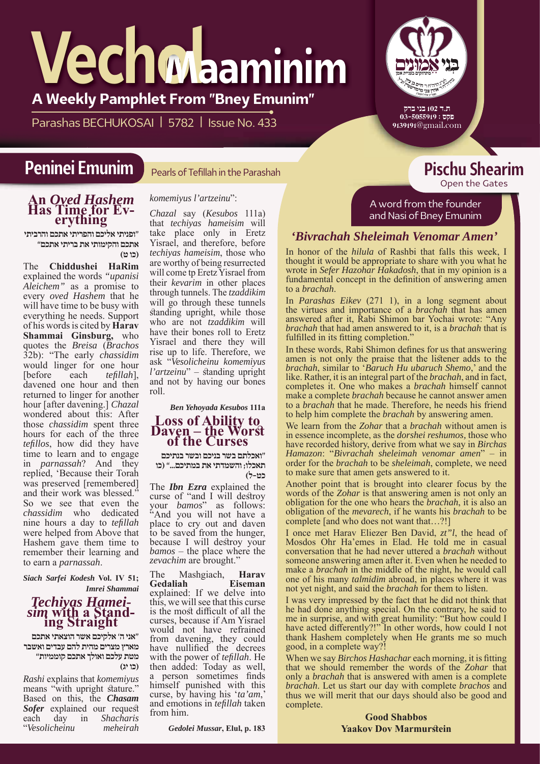# **Vechol Maaminim**

**A Weekly Pamphlet From "Bney Emunim"**

Parashas BECHUKOSAI | 5782 | Issue No. 433

ת.ד 102 בני ברק פקס : 03-5055919 9139191@gmail.com

## **Peninei Emunim Pearls of Tefillah in the Parashah**

Pearls of Tefillah in the Parashah

# **An** *Oved Hashem* **Has Time for Ev- erything**

**"ופניתי אליכם והפריתי אתכם והרביתי אתכם והקימותי את בריתי אתכם" (כו ט)**

The **Chiddushei HaRim**  explained the words *"upanisi Aleichem"* as a promise to every *oved Hashem* that he will have time to be busy with everything he needs. Support of his words is cited by **Harav Shammai Ginsburg,** who quotes the *Breisa* (*Brachos* 32b): "The early *chassidim* would linger for one hour<br>
[before each *tefillah*].  $t$ *efillah*], davened one hour and then returned to linger for another hour [after davening.] *Chazal* wondered about this: After those *chassidim* spent three hours for each of the three *tefillos*, how did they have time to learn and to engage in *parnassah*? And they replied, 'Because their Torah was preserved [remembered] and their work was blessed." So we see that even the *chassidim* who dedicated nine hours a day to *tefillah* were helped from Above that Hashem gave them time to remember their learning and to earn a *parnassah*.

*Siach Sarfei Kodesh* **Vol. IV 51;** *Imrei Shammai*

#### *Techiyas Hameisim* **with a Standing Straight**

**"אני ה' אלקיכם אשר הוצאתי אתכם מארץ מצרים מהית להם עבדים ואשבר מטת עלכם ואולך אתכם קוממיות" (כו יג)**

*Rashi* explains that *komemiyus* means "with upright stature." Based on this, the *Chasam*  **Sofer** explained our request each day in Shacharis each day in *Shacharis* "*Vesolicheinu meheirah* 

#### *komemiyus l'artzeinu*":

*Chazal* say (*Kesubos* 111a) that *techiyas hameisim* will take place only in Eretz Yisrael, and therefore, before *techiyas hameisim*, those who are worthy of being resurrected will come tp Eretz Yisrael from their *kevarim* in other places through tunnels. The *tzaddikim* will go through these tunnels standing upright, while those who are not *tzaddikim* will have their bones roll to Eretz Yisrael and there they will rise up to life. Therefore, we ask "*Vesolicheinu komemiyus l'artzeinu*" – standing upright and not by having our bones roll.

*Ben Yehoyada Kesubos* **111a Loss of Ability to Daven – the Worst of the Curses**

**"ואכלתם בשר בניכם ובשר בנתיכם תאכלו; והשמדתי את במתיכם..." (כו כט-ל)**

The *Ibn Ezra* explained the curse of "and I will destroy your *bamos*" as follows: "And you will not have a place to cry out and daven to be saved from the hunger, because I will destroy your *bamos* – the place where the *zevachim* are brought."

The Mashgiach, **Harav**  Gedaliah explained: If we delve into this, we will see that this curse is the most difficult of all the curses, because if Am Yisrael would not have refrained from davening, they could have nullified the decrees with the power of *tefillah*. He then added: Today as well, a person sometimes finds himself punished with this curse, by having his '*ta'am*,' and emotions in *tefillah* taken from him.

*Gedolei Mussar***, Elul, p. 183**

A word from the founder and Nasi of Bney Emunim

Open the Gates

#### *'Bivrachah Sheleimah Venomar Amen'*

In honor of the *hilula* of Rashbi that falls this week, I thought it would be appropriate to share with you what he wrote in *Sefer Hazohar Hakadosh*, that in my opinion is a fundamental concept in the definition of answering amen to a *brachah*.

In *Parashas Eikev* (271 1), in a long segment about the virtues and importance of a *brachah* that has amen answered after it, Rabi Shimon bar Yochai wrote: "Any *brachah* that had amen answered to it, is a *brachah* that is fulfilled in its fitting completion."

In these words, Rabi Shimon defines for us that answering amen is not only the praise that the listener adds to the *brachah*, similar to '*Baruch Hu ubaruch Shemo*,' and the like. Rather, it is an integral part of the *brachah*, and in fact, completes it. One who makes a *brachah* himself cannot make a complete *brachah* because he cannot answer amen to a *brachah* that he made. Therefore, he needs his friend to help him complete the *brachah* by answering amen.

We learn from the *Zohar* that a *brachah* without amen is in essence incomplete, as the *dorshei reshumos,* those who have recorded history, derive from what we say in *Birchas Hamazon*: "*Bivrachah sheleimah venomar amen*" – in order for the *brachah* to be *sheleimah*, complete, we need to make sure that amen gets answered to it.

Another point that is brought into clearer focus by the words of the *Zohar* is that answering amen is not only an obligation for the one who hears the *brachah*, it is also an obligation of the *mevarech*, if he wants his *brachah* to be complete [and who does not want that…?!]

I once met Harav Eliezer Ben David, *zt"l*, the head of Mosdos Ohr Ha'emes in Elad. He told me in casual conversation that he had never uttered a *brachah* without someone answering amen after it. Even when he needed to make a *brachah* in the middle of the night, he would call one of his many *talmidim* abroad, in places where it was not yet night, and said the *brachah* for them to listen.

I was very impressed by the fact that he did not think that he had done anything special. On the contrary, he said to me in surprise, and with great humility: "But how could I have acted differently?!" In other words, how could I not thank Hashem completely when He grants me so much good, in a complete way?!

When we say *Birchos Hashachar* each morning, it is fitting that we should remember the words of the *Zohar* that only a *brachah* that is answered with amen is a complete *brachah*. Let us start our day with complete *brachos* and thus we will merit that our days should also be good and complete.

> **Good Shabbos Yaakov Dov Marmurstein**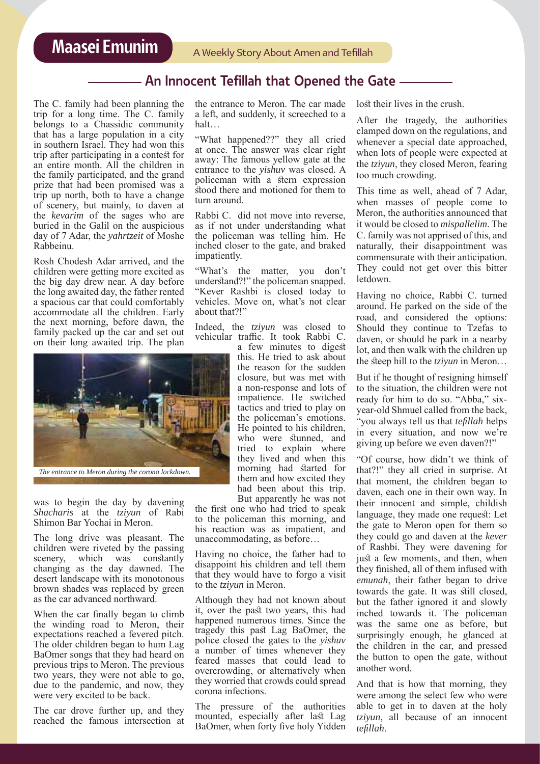#### An Innocent Tefillah that Opened the Gate

The C. family had been planning the trip for a long time. The C. family belongs to a Chassidic community that has a large population in a city in southern Israel. They had won this trip after participating in a contest for an entire month. All the children in the family participated, and the grand prize that had been promised was a trip up north, both to have a change of scenery, but mainly, to daven at the *kevarim* of the sages who are buried in the Galil on the auspicious day of 7 Adar, the *yahrtzeit* of Moshe Rabbeinu.

Rosh Chodesh Adar arrived, and the children were getting more excited as the big day drew near. A day before the long awaited day, the father rented a spacious car that could comfortably accommodate all the children. Early the next morning, before dawn, the family packed up the car and set out on their long awaited trip. The plan



was to begin the day by davening *Shacharis* at the *tziyun* of Rabi Shimon Bar Yochai in Meron.

The long drive was pleasant. The children were riveted by the passing scenery, which was constantly changing as the day dawned. The desert landscape with its monotonous brown shades was replaced by green as the car advanced northward.

When the car finally began to climb the winding road to Meron, their expectations reached a fevered pitch. The older children began to hum Lag BaOmer songs that they had heard on previous trips to Meron. The previous two years, they were not able to go, due to the pandemic, and now, they were very excited to be back.

The car drove further up, and they reached the famous intersection at the entrance to Meron. The car made a left, and suddenly, it screeched to a halt…

"What happened??" they all cried at once. The answer was clear right away: The famous yellow gate at the entrance to the *yishuv* was closed. A policeman with a stern expression stood there and motioned for them to turn around.

Rabbi C. did not move into reverse, as if not under understanding what the policeman was telling him. He inched closer to the gate, and braked impatiently.

"What's the matter, you don't understand?!" the policeman snapped. "Kever Rashbi is closed today to vehicles. Move on, what's not clear about that?!"

Indeed, the *tziyun* was closed to vehicular traffic. It took Rabbi C.

a few minutes to digest this. He tried to ask about the reason for the sudden closure, but was met with a non-response and lots of impatience. He switched tactics and tried to play on the policeman's emotions. He pointed to his children, who were stunned, and tried to explain where they lived and when this morning had started for them and how excited they had been about this trip. But apparently he was not

the first one who had tried to speak to the policeman this morning, and his reaction was as impatient, and unaccommodating, as before…

Having no choice, the father had to disappoint his children and tell them that they would have to forgo a visit to the *tziyun* in Meron.

Although they had not known about it, over the past two years, this had happened numerous times. Since the tragedy this past Lag BaOmer, the police closed the gates to the *yishuv* a number of times whenever they feared masses that could lead to overcrowding, or alternatively when they worried that crowds could spread corona infections.

The pressure of the authorities mounted, especially after last Lag BaOmer, when forty five holy Yidden lost their lives in the crush.

After the tragedy, the authorities clamped down on the regulations, and whenever a special date approached, when lots of people were expected at the *tziyun*, they closed Meron, fearing too much crowding.

This time as well, ahead of 7 Adar, when masses of people come to Meron, the authorities announced that it would be closed to *mispallelim*. The C. family was not apprised of this, and naturally, their disappointment was commensurate with their anticipation. They could not get over this bitter letdown.

Having no choice, Rabbi C. turned around. He parked on the side of the road, and considered the options: Should they continue to Tzefas to daven, or should he park in a nearby lot, and then walk with the children up the steep hill to the *tziyun* in Meron…

But if he thought of resigning himself to the situation, the children were not ready for him to do so. "Abba," sixyear-old Shmuel called from the back, "you always tell us that *tefillah* helps in every situation, and now we're giving up before we even daven?!"

"Of course, how didn't we think of that?!" they all cried in surprise. At that moment, the children began to daven, each one in their own way. In their innocent and simple, childish language, they made one request: Let the gate to Meron open for them so they could go and daven at the *kever* of Rashbi. They were davening for just a few moments, and then, when they finished, all of them infused with *emunah*, their father began to drive towards the gate. It was still closed, but the father ignored it and slowly inched towards it. The policeman was the same one as before, but surprisingly enough, he glanced at the children in the car, and pressed the button to open the gate, without another word.

And that is how that morning, they were among the select few who were able to get in to daven at the holy *tziyun*, all because of an innocent *tefillah*.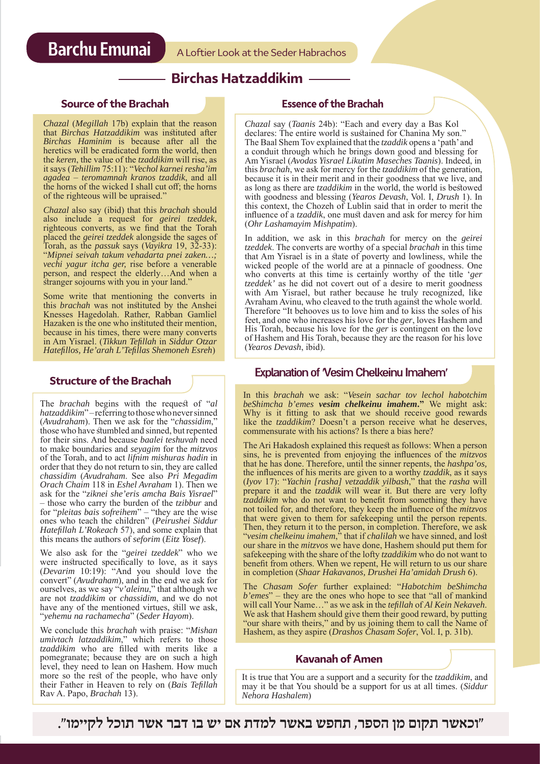#### **Birchas Hatzaddikim**

#### **Source of the Brachah**

*Chazal* (*Megillah* 17b) explain that the reason that *Birchas Hatzaddikim* was instituted after *Birchas Haminim* is because after all the heretics will be eradicated form the world, then the *keren*, the value of the *tzaddikim* will rise, as it says (*Tehillim* 75:11): "*Vechol karnei resha'im agadea* – *teromamnah kranos tzaddik*, and all the horns of the wicked I shall cut off; the horns of the righteous will be upraised."

*Chazal* also say (ibid) that this *brachah* should also include a request for *geirei tzeddek*, righteous converts, as we find that the Torah placed the *geirei tzeddek* alongside the sages of Torah, as the *passuk* says (*Vayikra* 19, 32-33): "*Mipnei seivah takum vehadarta pnei zaken…; vechi yagur itcha ger,* rise before a venerable person, and respect the elderly…And when a stranger sojourns with you in your land."

Some write that mentioning the converts in this *brachah* was not instituted by the Anshei Knesses Hagedolah. Rather, Rabban Gamliel Hazaken is the one who instituted their mention, because in his times, there were many converts in Am Yisrael. (*Tikkun Tefillah* in *Siddur Otzar Hatefillos, He'arah L'Tefillas Shemoneh Esreh*)

#### **Structure of the Brachah**

The *brachah* begins with the request of "*al hatzaddikim*" – referring to those who never sinned (*Avudraham*). Then we ask for the "*chassidim*," those who have stumbled and sinned, but repented for their sins. And because *baalei teshuvah* need to make boundaries and *seyagim* for the *mitzvos* of the Torah, and to act *lifnim mishuras hadin* in order that they do not return to sin, they are called *chassidim* (*Avudraham*. See also *Pri Megadim Orach Chaim* 118 in *Eshel Avraham* 1). Then we ask for the "*ziknei she'eris amcha Bais Yisrael*" – those who carry the burden of the *tzibbur* and for "*pleitas bais sofreihem*" – "they are the wise ones who teach the children" (*Peirushei Siddur Hatefillah L'Rokeach* 57), and some explain that this means the authors of *seforim* (*Eitz Yosef*).

We also ask for the "*geirei tzeddek*" who we were instructed specifically to love, as it says (*Devarim* 10:19): "And you should love the convert" (*Avudraham*), and in the end we ask for ourselves, as we say "*v'aleinu*," that although we are not *tzaddikim* or *chassidim*, and we do not have any of the mentioned virtues, still we ask, "*yehemu na rachamecha*" (*Seder Hayom*).

We conclude this *brachah* with praise: "*Mishan umivtach latzaddikim*," which refers to those *tzaddikim* who are filled with merits like a pomegranate; because they are on such a high level, they need to lean on Hashem. How much more so the rest of the people, who have only their Father in Heaven to rely on (*Bais Tefillah* Rav A. Papo, *Brachah* 13).

#### **Essence of the Brachah**

*Chazal* say (*Taanis* 24b): "Each and every day a Bas Kol declares: The entire world is sustained for Chanina My son." The Baal Shem Tov explained that the *tzaddik* opens a 'path' and a conduit through which he brings down good and blessing for Am Yisrael (*Avodas Yisrael Likutim Maseches Taanis*). Indeed, in this *brachah*, we ask for mercy for the *tzaddikim* of the generation, because it is in their merit and in their goodness that we live, and as long as there are *tzaddikim* in the world, the world is bestowed with goodness and blessing (*Yearos Devash*, Vol. I, *Drush* 1). In this context, the Chozeh of Lublin said that in order to merit the influence of a *tzaddik*, one must daven and ask for mercy for him (*Ohr Lashamayim Mishpatim*).

In addition, we ask in this *brachah* for mercy on the *geirei tzeddek*. The converts are worthy of a special *brachah* in this time that Am Yisrael is in a state of poverty and lowliness, while the wicked people of the world are at a pinnacle of goodness. One who converts at this time is certainly worthy of the title '*ger tzeddek'* as he did not covert out of a desire to merit goodness with Am Yisrael, but rather because he truly recognized, like Avraham Avinu, who cleaved to the truth against the whole world. Therefore "It behooves us to love him and to kiss the soles of his feet, and one who increases his love for the *ger*, loves Hashem and His Torah, because his love for the *ger* is contingent on the love of Hashem and His Torah, because they are the reason for his love (*Yearos Devash*, ibid).

#### **Explanation of 'Vesim Chelkeinu Imahem'**

In this *brachah* we ask: "*Vesein sachar tov lechol habotchim beShimcha b'emes vesim chelkeinu imahem***."** We might ask: Why is it fitting to ask that we should receive good rewards like the *tzaddikim*? Doesn't a person receive what he deserves, commensurate with his actions? Is there a bias here?

The Ari Hakadosh explained this request as follows: When a person sins, he is prevented from enjoying the influences of the *mitzvos* that he has done. Therefore, until the sinner repents, the *hashpa'os,*  the influences of his merits are given to a worthy *tzaddik*, as it says (*Iyov* 17): "*Yachin [rasha] vetzaddik yilbash*," that the *rasha* will prepare it and the *tzaddik* will wear it. But there are very lofty *tzaddikim* who do not want to benefit from something they have not toiled for, and therefore, they keep the influence of the *mitzvos* that were given to them for safekeeping until the person repents. Then, they return it to the person, in completion. Therefore, we ask "*vesim chelkeinu imahem*," that if *chalilah* we have sinned, and lost our share in the *mitzvos* we have done, Hashem should put them for safekeeping with the share of the lofty *tzaddikim* who do not want to benefit from others. When we repent, He will return to us our share in completion (*Shaar Hakavanos, Drushei Ha'amidah Drush* 6).

The *Chasam Sofer* further explained: "*Habotchim beShimcha b'emes*" – they are the ones who hope to see that "all of mankind will call Your Name…" as we ask in the *tefillah* of *Al Kein Nekaveh*. We ask that Hashem should give them their good reward, by putting "our share with theirs," and by us joining them to call the Name of Hashem, as they aspire (*Drashos Chasam Sofer*, Vol. I, p. 31b).

#### **Kavanah of Amen**

It is true that You are a support and a security for the *tzaddikim*, and may it be that You should be a support for us at all times. (*Siddur Nehora Hashalem*)

**"וכאשר תקום מן הספר, תחפש באשר למדת אם יש בו דבר אשר תוכל לקיימו".**